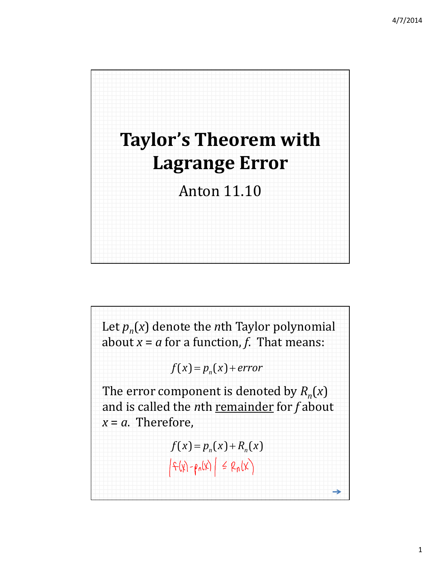

Let  $p_n(x)$  denote the *n*th Taylor polynomial about  $x = a$  for a function,  $f$ . That means:  $f(x) = p_n(x) + error$ The error component is denoted by  $R_n(x)$ and is called the *n*th remainder for *f* about  $x = a$ . Therefore,  $f(x) = p_n(x) + R_n(x)$  $|f(x)-\rho_n(x)| \leq R_n(x)$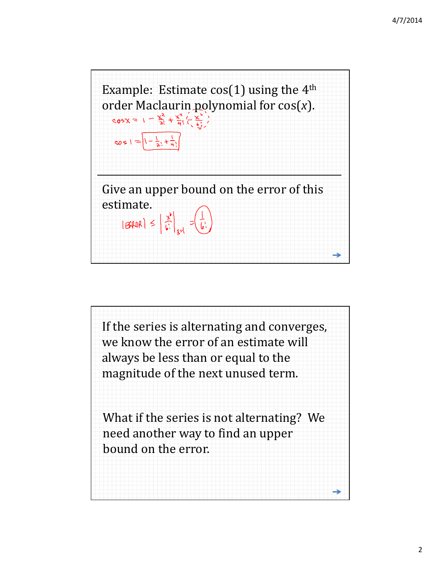

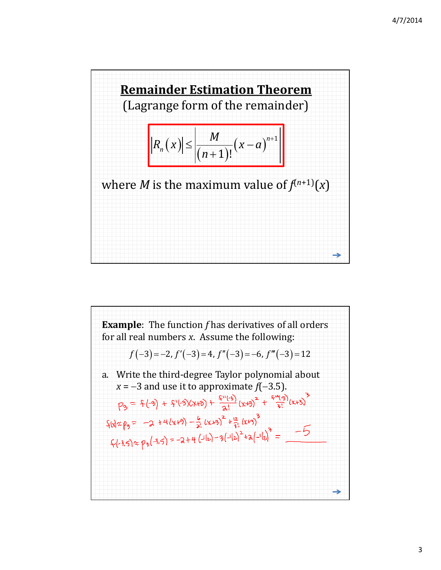

**Example:** The function *f* has derivatives of all orders  
for all real numbers *x*. Assume the following:  

$$
f(-3) = -2
$$
,  $f'(-3) = 4$ ,  $f''(-3) = -6$ ,  $f'''(-3) = 12$   
a. Write the third-degree Taylor polynomial about  
 $x = -3$  and use it to approximate  $f(-3.5)$ .  

$$
\rho_3 = \frac{2}{3}(\sqrt[3]{3} + \frac{2}{3}(\sqrt[3]{3} + \frac{2}{3}(\sqrt[3]{3})^2 + \frac{2}{3}(\sqrt[3]{3})^3 + \frac{2}{3}(\sqrt[3]{3})^3 + \frac{2}{3}(\sqrt[3]{3})^2 + \frac{2}{3}(\sqrt[3]{3})^3 + \frac{2}{3}(\sqrt[3]{3} + \frac{2}{3}(\sqrt[3]{3})^2) + \frac{2}{3}(\sqrt[3]{3} + \frac{2}{3}(\sqrt[3]{3})^3 + \frac{2}{3}(\sqrt[3]{3})^2 = \sqrt{2} + 4(\sqrt[3]{3})^2 = -2 + 4(\sqrt[3]{3})^2 = 4
$$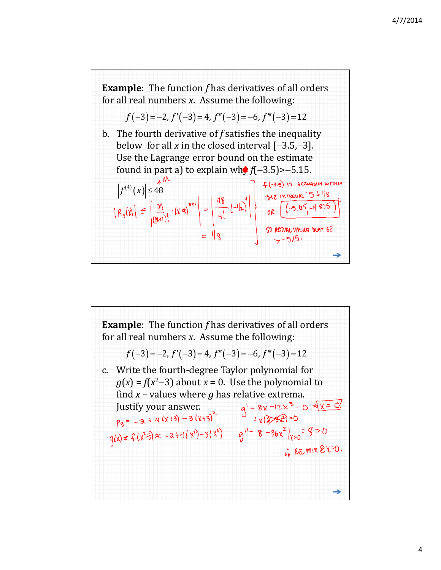

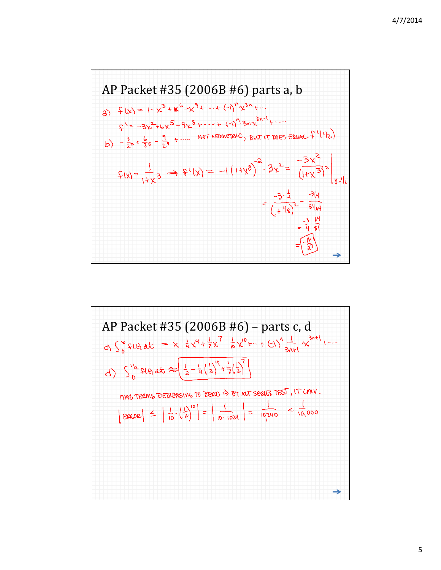